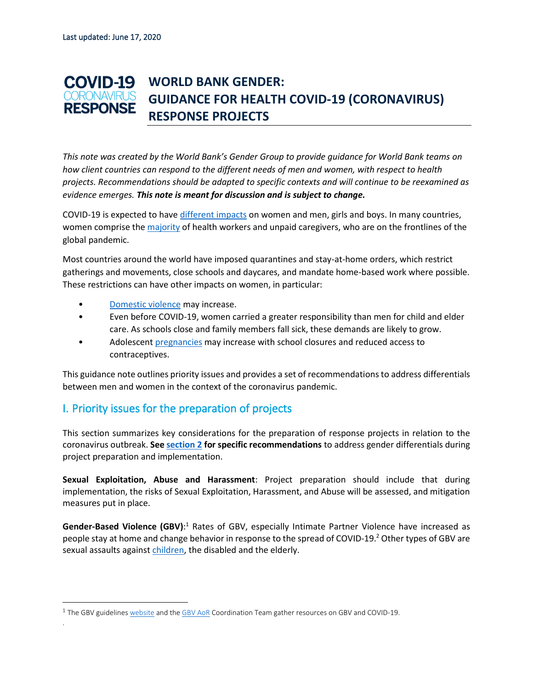#### **COVID-19 WORLD BANK GENDER:**  CORONAVIRUS **GUIDANCE FOR HEALTH COVID-19 (CORONAVIRUS) RESPONSE RESPONSE PROJECTS**

*This note was created by the World Bank's Gender Group to provide guidance for World Bank teams on how client countries can respond to the different needs of men and women, with respect to health projects. Recommendations should be adapted to specific contexts and will continue to be reexamined as evidence emerges. This note is meant for discussion and is subject to change.*

COVID-19 is expected to have [different impacts](https://www.thelancet.com/journals/lancet/article/PIIS0140-6736(20)30526-2/fulltext) on women and men, girls and boys. In many countries, women comprise the [majority](https://apps.who.int/iris/bitstream/handle/10665/311314/WHO-HIS-HWF-Gender-WP1-2019.1-eng.pdf?sequence=1&isAllowed=y) of health workers and unpaid caregivers, who are on the frontlines of the global pandemic.

Most countries around the world have imposed quarantines and stay-at-home orders, which restrict gatherings and movements, close schools and daycares, and mandate home-based work where possible. These restrictions can have other impacts on women, in particular:

- [Domestic violence](https://gbvguidelines.org/wp/wp-content/uploads/2020/03/vawg-helpdesk-284-covid-19-and-vawg.pdf) may increase.
- Even before COVID-19, women carried a greater responsibility than men for child and elder care. As schools close and family members fall sick, these demands are likely to grow.
- Adolescent [pregnancies](https://blogs.worldbank.org/impactevaluations/economic-lives-young-women-time-ebola-and-lessons-empowerment-program) may increase with school closures and reduced access to contraceptives.

This guidance note outlines priority issues and provides a set of recommendationsto address differentials between men and women in the context of the coronavirus pandemic.

## I. Priority issues for the preparation of projects

.

This section summarizes key considerations for the preparation of response projects in relation to the coronavirus outbreak. **Se[e section 2](#page-2-0) for specific recommendations** to address gender differentials during project preparation and implementation.

**Sexual Exploitation, Abuse and Harassment**: Project preparation should include that during implementation, the risks of Sexual Exploitation, Harassment, and Abuse will be assessed, and mitigation measures put in place.

Gender-Based Violence (GBV):<sup>1</sup> Rates of GBV, especially Intimate Partner Violence have increased as people stay at home and change behavior in response to the spread of COVID-19.<sup>2</sup> Other types of GBV are sexual assaults against [children,](https://www.end-violence.org/sites/default/files/paragraphs/download/The%20Alliance%20COVID%2019%20Brief%20Version%201%20%28006%29.pdf) the disabled and the elderly.

<sup>&</sup>lt;sup>1</sup> The GBV guideline[s website](https://gbvguidelines.org/en/knowledgehub/covid-19/) and th[e GBV AoR](https://gbvaor.net/thematic-areas?term_node_tid_depth_1%5B121%5D=121) Coordination Team gather resources on GBV and COVID-19.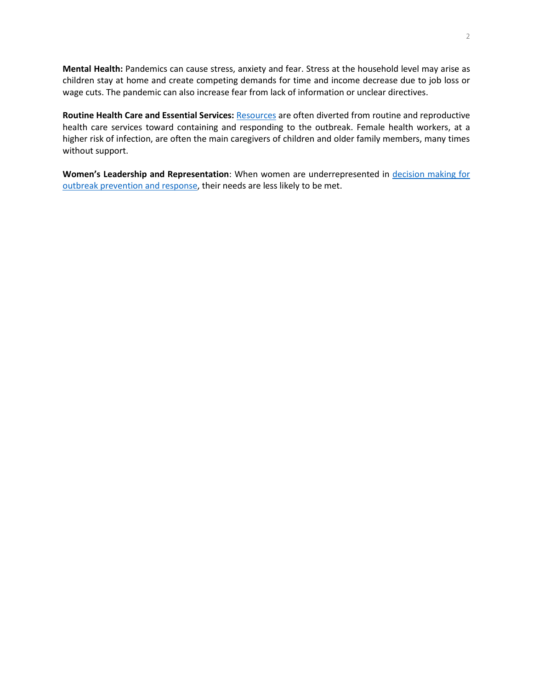**Mental Health:** Pandemics can cause stress, anxiety and fear. Stress at the household level may arise as children stay at home and create competing demands for time and income decrease due to job loss or wage cuts. The pandemic can also increase fear from lack of information or unclear directives.

**Routine Health Care and Essential Services:** [Resources](https://digitallibrary.un.org/record/822489/files/A_70_723-EN.pdf) are often diverted from routine and reproductive health care services toward containing and responding to the outbreak. Female health workers, at a higher risk of infection, are often the main caregivers of children and older family members, many times without support.

**Women's Leadership and Representation**: When women are underrepresented in [decision making for](https://apps.who.int/gb/ebwha/pdf_files/EB146/B146_CONF17-en.pdf)  [outbreak prevention and response,](https://apps.who.int/gb/ebwha/pdf_files/EB146/B146_CONF17-en.pdf) their needs are less likely to be met.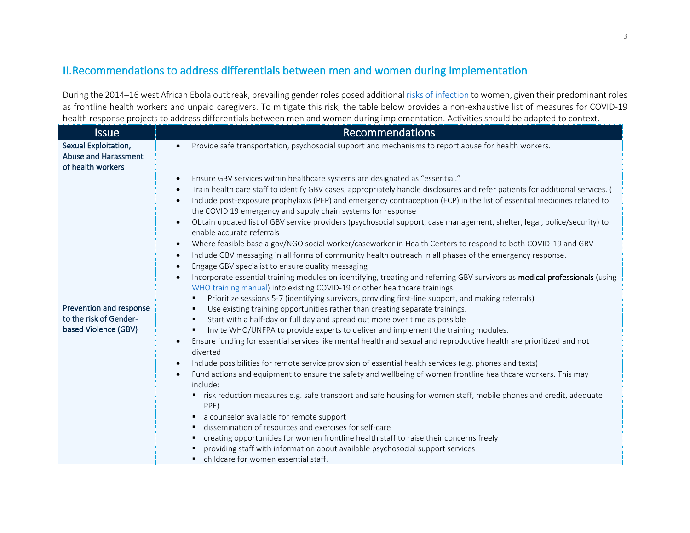## II.Recommendations to address differentials between men and women during implementation

During the 2014–16 west African Ebola outbreak, prevailing gender roles posed additiona[l risks of infection](https://academic.oup.com/ia/article/92/5/1041/2688120) to women, given their predominant roles as frontline health workers and unpaid caregivers. To mitigate this risk, the table below provides a non-exhaustive list of measures for COVID-19 health response projects to address differentials between men and women during implementation. Activities should be adapted to context.

<span id="page-2-0"></span>

| <b>Issue</b>                                                              | <b>Recommendations</b>                                                                                                                                                                                                                                                                                                                                                                                                                                                                                                                                                                                                                                                                                                                                                                                                                                                                                                                                                                                                                                                                                                                                                                                                                                                                                                                                                                                                                                                                                                                                                                                                                                                                                                                                                                                                                                                                                                                                                                                                                                                                                                                                                                                                                                                                                                                                                                                                                             |
|---------------------------------------------------------------------------|----------------------------------------------------------------------------------------------------------------------------------------------------------------------------------------------------------------------------------------------------------------------------------------------------------------------------------------------------------------------------------------------------------------------------------------------------------------------------------------------------------------------------------------------------------------------------------------------------------------------------------------------------------------------------------------------------------------------------------------------------------------------------------------------------------------------------------------------------------------------------------------------------------------------------------------------------------------------------------------------------------------------------------------------------------------------------------------------------------------------------------------------------------------------------------------------------------------------------------------------------------------------------------------------------------------------------------------------------------------------------------------------------------------------------------------------------------------------------------------------------------------------------------------------------------------------------------------------------------------------------------------------------------------------------------------------------------------------------------------------------------------------------------------------------------------------------------------------------------------------------------------------------------------------------------------------------------------------------------------------------------------------------------------------------------------------------------------------------------------------------------------------------------------------------------------------------------------------------------------------------------------------------------------------------------------------------------------------------------------------------------------------------------------------------------------------------|
| Sexual Exploitation,<br>Abuse and Harassment<br>of health workers         | Provide safe transportation, psychosocial support and mechanisms to report abuse for health workers.<br>$\bullet$                                                                                                                                                                                                                                                                                                                                                                                                                                                                                                                                                                                                                                                                                                                                                                                                                                                                                                                                                                                                                                                                                                                                                                                                                                                                                                                                                                                                                                                                                                                                                                                                                                                                                                                                                                                                                                                                                                                                                                                                                                                                                                                                                                                                                                                                                                                                  |
| Prevention and response<br>to the risk of Gender-<br>based Violence (GBV) | Ensure GBV services within healthcare systems are designated as "essential."<br>$\bullet$<br>Train health care staff to identify GBV cases, appropriately handle disclosures and refer patients for additional services. (<br>$\bullet$<br>Include post-exposure prophylaxis (PEP) and emergency contraception (ECP) in the list of essential medicines related to<br>$\bullet$<br>the COVID 19 emergency and supply chain systems for response<br>Obtain updated list of GBV service providers (psychosocial support, case management, shelter, legal, police/security) to<br>$\bullet$<br>enable accurate referrals<br>Where feasible base a gov/NGO social worker/caseworker in Health Centers to respond to both COVID-19 and GBV<br>$\bullet$<br>Include GBV messaging in all forms of community health outreach in all phases of the emergency response.<br>$\bullet$<br>Engage GBV specialist to ensure quality messaging<br>$\bullet$<br>Incorporate essential training modules on identifying, treating and referring GBV survivors as medical professionals (using<br>$\bullet$<br>WHO training manual) into existing COVID-19 or other healthcare trainings<br>Prioritize sessions 5-7 (identifying survivors, providing first-line support, and making referrals)<br>٠<br>Use existing training opportunities rather than creating separate trainings.<br>п<br>Start with a half-day or full day and spread out more over time as possible<br>$\blacksquare$<br>Invite WHO/UNFPA to provide experts to deliver and implement the training modules.<br>Ensure funding for essential services like mental health and sexual and reproductive health are prioritized and not<br>$\bullet$<br>diverted<br>Include possibilities for remote service provision of essential health services (e.g. phones and texts)<br>$\bullet$<br>Fund actions and equipment to ensure the safety and wellbeing of women frontline healthcare workers. This may<br>$\bullet$<br>include:<br>" risk reduction measures e.g. safe transport and safe housing for women staff, mobile phones and credit, adequate<br>PPE)<br>a counselor available for remote support<br>٠<br>dissemination of resources and exercises for self-care<br>٠<br>creating opportunities for women frontline health staff to raise their concerns freely<br>providing staff with information about available psychosocial support services<br>childcare for women essential staff. |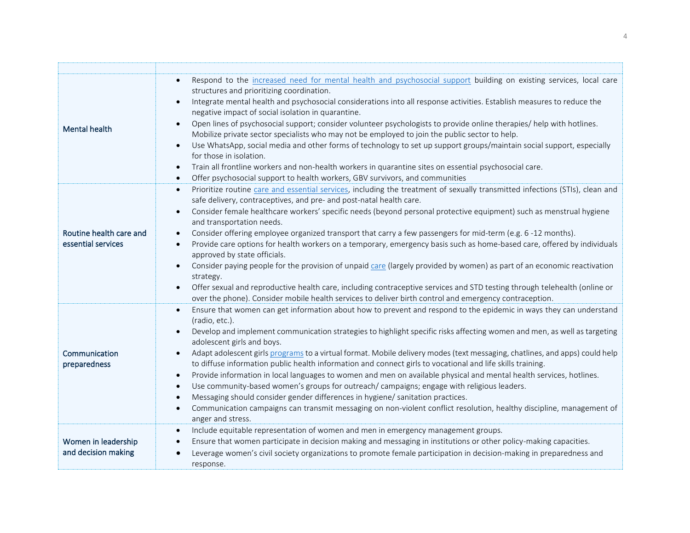| <b>Mental health</b>                          | Respond to the increased need for mental health and psychosocial support building on existing services, local care<br>structures and prioritizing coordination.<br>Integrate mental health and psychosocial considerations into all response activities. Establish measures to reduce the<br>negative impact of social isolation in quarantine.<br>Open lines of psychosocial support; consider volunteer psychologists to provide online therapies/ help with hotlines.<br>Mobilize private sector specialists who may not be employed to join the public sector to help.<br>Use WhatsApp, social media and other forms of technology to set up support groups/maintain social support, especially<br>for those in isolation.<br>Train all frontline workers and non-health workers in quarantine sites on essential psychosocial care.<br>$\bullet$<br>Offer psychosocial support to health workers, GBV survivors, and communities<br>$\bullet$                                                                             |
|-----------------------------------------------|--------------------------------------------------------------------------------------------------------------------------------------------------------------------------------------------------------------------------------------------------------------------------------------------------------------------------------------------------------------------------------------------------------------------------------------------------------------------------------------------------------------------------------------------------------------------------------------------------------------------------------------------------------------------------------------------------------------------------------------------------------------------------------------------------------------------------------------------------------------------------------------------------------------------------------------------------------------------------------------------------------------------------------|
| Routine health care and<br>essential services | Prioritize routine care and essential services, including the treatment of sexually transmitted infections (STIs), clean and<br>$\bullet$<br>safe delivery, contraceptives, and pre- and post-natal health care.<br>Consider female healthcare workers' specific needs (beyond personal protective equipment) such as menstrual hygiene<br>and transportation needs.<br>Consider offering employee organized transport that carry a few passengers for mid-term (e.g. 6 -12 months).<br>Provide care options for health workers on a temporary, emergency basis such as home-based care, offered by individuals<br>approved by state officials.<br>Consider paying people for the provision of unpaid care (largely provided by women) as part of an economic reactivation<br>strategy.<br>Offer sexual and reproductive health care, including contraceptive services and STD testing through telehealth (online or<br>over the phone). Consider mobile health services to deliver birth control and emergency contraception. |
| Communication<br>preparedness                 | Ensure that women can get information about how to prevent and respond to the epidemic in ways they can understand<br>(radio, etc.).<br>Develop and implement communication strategies to highlight specific risks affecting women and men, as well as targeting<br>adolescent girls and boys.<br>Adapt adolescent girls programs to a virtual format. Mobile delivery modes (text messaging, chatlines, and apps) could help<br>to diffuse information public health information and connect girls to vocational and life skills training.<br>Provide information in local languages to women and men on available physical and mental health services, hotlines.<br>$\bullet$<br>Use community-based women's groups for outreach/campaigns; engage with religious leaders.<br>Messaging should consider gender differences in hygiene/ sanitation practices.<br>Communication campaigns can transmit messaging on non-violent conflict resolution, healthy discipline, management of<br>$\bullet$<br>anger and stress.       |
| Women in leadership<br>and decision making    | Include equitable representation of women and men in emergency management groups.<br>$\bullet$<br>Ensure that women participate in decision making and messaging in institutions or other policy-making capacities.<br>$\bullet$<br>Leverage women's civil society organizations to promote female participation in decision-making in preparedness and<br>response.                                                                                                                                                                                                                                                                                                                                                                                                                                                                                                                                                                                                                                                           |

T.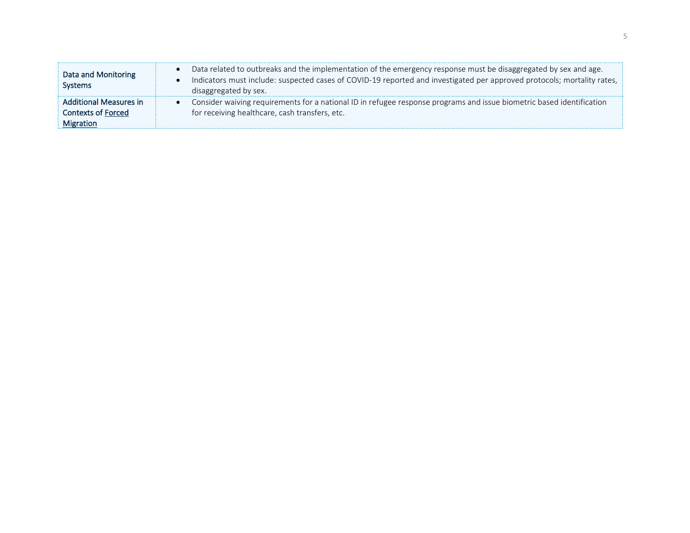| Data and Monitoring<br><b>Systems</b> | Data related to outbreaks and the implementation of the emergency response must be disaggregated by sex and age.<br>Indicators must include: suspected cases of COVID-19 reported and investigated per approved protocols; mortality rates,<br>disaggregated by sex. |
|---------------------------------------|----------------------------------------------------------------------------------------------------------------------------------------------------------------------------------------------------------------------------------------------------------------------|
| <b>Additional Measures in</b>         | Consider waiving requirements for a national ID in refugee response programs and issue biometric based identification                                                                                                                                                |
| <b>Contexts of Forced</b>             | for receiving healthcare, cash transfers, etc.                                                                                                                                                                                                                       |
| <b>Migration</b>                      |                                                                                                                                                                                                                                                                      |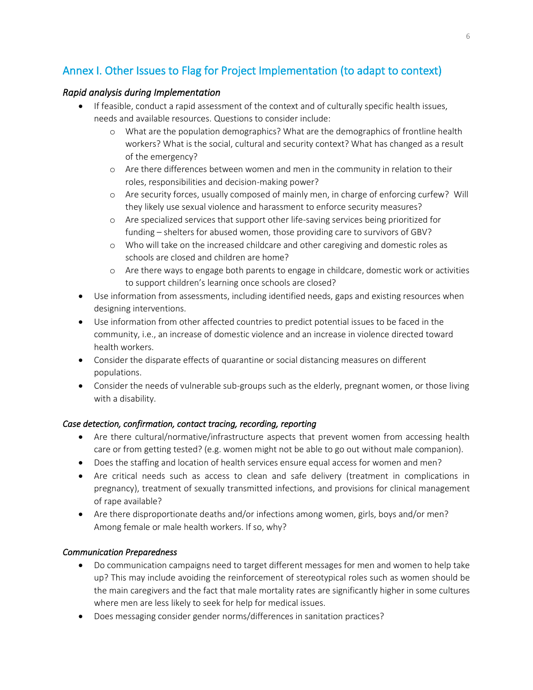# Annex I. Other Issues to Flag for Project Implementation (to adapt to context)

#### *Rapid analysis during Implementation*

- If feasible, conduct a rapid assessment of the context and of culturally specific health issues, needs and available resources. Questions to consider include:
	- o What are the population demographics? What are the demographics of frontline health workers? What is the social, cultural and security context? What has changed as a result of the emergency?
	- o Are there differences between women and men in the community in relation to their roles, responsibilities and decision-making power?
	- o Are security forces, usually composed of mainly men, in charge of enforcing curfew? Will they likely use sexual violence and harassment to enforce security measures?
	- o Are specialized services that support other life-saving services being prioritized for funding – shelters for abused women, those providing care to survivors of GBV?
	- o Who will take on the increased childcare and other caregiving and domestic roles as schools are closed and children are home?
	- o Are there ways to engage both parents to engage in childcare, domestic work or activities to support children's learning once schools are closed?
- Use information from assessments, including identified needs, gaps and existing resources when designing interventions.
- Use information from other affected countries to predict potential issues to be faced in the community, i.e., an increase of domestic violence and an increase in violence directed toward health workers.
- Consider the disparate effects of quarantine or social distancing measures on different populations.
- Consider the needs of vulnerable sub-groups such as the elderly, pregnant women, or those living with a disability.

#### *Case detection, confirmation, contact tracing, recording, reporting*

- Are there cultural/normative/infrastructure aspects that prevent women from accessing health care or from getting tested? (e.g. women might not be able to go out without male companion).
- Does the staffing and location of health services ensure equal access for women and men?
- Are critical needs such as access to clean and safe delivery (treatment in complications in pregnancy), treatment of sexually transmitted infections, and provisions for clinical management of rape available?
- Are there disproportionate deaths and/or infections among women, girls, boys and/or men? Among female or male health workers. If so, why?

### *Communication Preparedness*

- Do communication campaigns need to target different messages for men and women to help take up? This may include avoiding the reinforcement of stereotypical roles such as women should be the main caregivers and the fact that male mortality rates are significantly higher in some cultures where men are less likely to seek for help for medical issues.
- Does messaging consider gender norms/differences in sanitation practices?